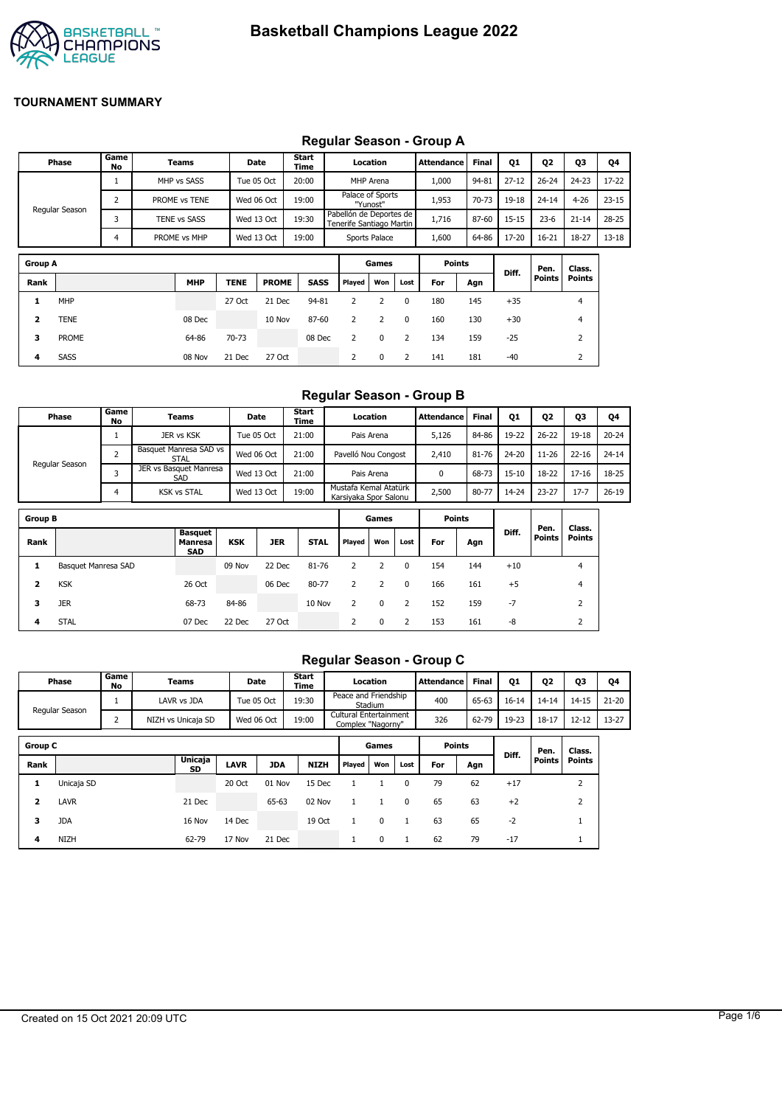

#### **Group A Games Points Diff. Pen. Points Class. Points Rank MHP TENE PROME SASS Played Won Lost For Agn 1** MHP 27 Oct 21 Dec 94-81 2 2 0 180 145 +35 4 **2** TENE 08 Dec 10 Nov 87-60 2 2 0 160 130 +30 4 **Phase Game No Teams Date Start Time Location Attendance Final Q1 Q2 Q3 Q4** Regular Season 1 MHP vs SASS Tue 05 Oct T 20:00 MHP Arena T 1,000 94-81 27-12 T 26-24 T 24-23 T 17-22 2 PROME vs TENE Wed 06 Oct 19:00 Palace of Sports "Yunost" Pabellón de Deportes de 1,953 70-73 19-18 24-14 4-26 23-15 3 TENE vs SASS Wed 13 Oct 19:30 Tenerife Santiago Martin 1,716 87-60 15-15 23-6 21-14 28-25 4 PROME vs MHP Wed 13 Oct 19:00 Sports Palace 1,600 64-86 17-20 16-21 18-27 13-18

**3** PROME 64-86 70-73 08 Dec 2 0 2 134 159 -25 2 **4** SASS 08 Nov 21 Dec 27 Oct 2 0 2 141 181 -40 2

# **Regular Season - Group A**

#### **Regular Season - Group B**

|                         | Phase               | Game<br>No     |  | Teams                                   |            | Date       | Start<br>Time |                                                | Location       |              | <b>Attendance</b> | <b>Final</b> | 01        | Q <sub>2</sub> | <b>Q3</b>               | Q4        |
|-------------------------|---------------------|----------------|--|-----------------------------------------|------------|------------|---------------|------------------------------------------------|----------------|--------------|-------------------|--------------|-----------|----------------|-------------------------|-----------|
|                         |                     | $\mathbf{1}$   |  | JER vs KSK                              |            | Tue 05 Oct |               | Pais Arena                                     |                |              | 5,126             | 84-86        | 19-22     | $26 - 22$      | 19-18                   | $20 - 24$ |
|                         |                     | $\overline{2}$ |  | Basquet Manresa SAD vs<br><b>STAL</b>   |            | Wed 06 Oct | 21:00         | Pavelló Nou Congost                            |                |              | 2,410             | 81-76        | 24-20     | $11 - 26$      | $22 - 16$               | $24 - 14$ |
|                         | Regular Season      | 3              |  | JER vs Basquet Manresa<br>SAD           |            | Wed 13 Oct | 21:00         |                                                | Pais Arena     |              | 0                 | 68-73        | $15 - 10$ | 18-22          | $17 - 16$               | 18-25     |
|                         |                     | 4              |  | <b>KSK vs STAL</b>                      |            | Wed 13 Oct | 19:00         | Mustafa Kemal Atatürk<br>Karsiyaka Spor Salonu |                |              | 2,500             | 80-77        | 14-24     | $23 - 27$      | $17 - 7$                | $26 - 19$ |
| <b>Group B</b>          |                     |                |  |                                         |            |            |               |                                                | Games          |              | <b>Points</b>     |              |           |                |                         |           |
| Rank                    |                     |                |  | <b>Basquet</b><br>Manresa<br><b>SAD</b> | <b>KSK</b> | <b>JER</b> | <b>STAL</b>   | Played                                         | Won            | Lost         | For               | Agn          | Diff.     | Pen.<br>Points | Class.<br><b>Points</b> |           |
| 1                       | Basquet Manresa SAD |                |  |                                         | 09 Nov     | 22 Dec     | 81-76         | 2                                              | 2              | 0            | 154               | 144          | $+10$     |                | $\overline{4}$          |           |
| $\overline{\mathbf{2}}$ | <b>KSK</b>          |                |  | 26 Oct                                  |            | 06 Dec     | 80-77         | $\overline{2}$                                 | $\overline{2}$ | $\mathbf{0}$ | 166               | 161          | $+5$      |                | $\overline{4}$          |           |
| з                       | <b>JER</b>          |                |  | 68-73                                   | 84-86      |            | 10 Nov        | 2                                              | $\mathbf 0$    | 2            | 152               | 159          | $-7$      |                | 2                       |           |
| 4                       | <b>STAL</b>         |                |  | 07 Dec                                  | 22 Dec     | 27 Oct     |               | 2                                              | $\mathbf 0$    | 2            | 153               | 161          | -8        |                | 2                       |           |

#### **Regular Season - Group C**

|                | Game<br>Start<br>Phase<br><b>Teams</b><br>Date<br>No<br>Time |                | Location           |             | <b>Attendance</b> | <b>Final</b> | <b>Q1</b>            | Q2                                          | 03           | Q4            |       |           |               |                |           |     |  |  |       |       |           |           |           |
|----------------|--------------------------------------------------------------|----------------|--------------------|-------------|-------------------|--------------|----------------------|---------------------------------------------|--------------|---------------|-------|-----------|---------------|----------------|-----------|-----|--|--|-------|-------|-----------|-----------|-----------|
|                | Regular Season                                               |                | LAVR vs JDA        | Tue 05 Oct  |                   | 19:30        | Peace and Friendship | Stadium                                     |              | 400           | 65-63 | $16 - 14$ | $14 - 14$     | $14 - 15$      | $21 - 20$ |     |  |  |       |       |           |           |           |
|                |                                                              | $\overline{2}$ | NIZH vs Unicaja SD | Wed 06 Oct  |                   | 19:00        |                      | Cultural Entertainment<br>Complex "Nagorny" |              |               |       |           |               |                |           | 326 |  |  | 62-79 | 19-23 | $18 - 17$ | $12 - 12$ | $13 - 27$ |
| <b>Group C</b> |                                                              |                |                    |             |                   |              |                      | Games                                       |              | <b>Points</b> |       |           | Pen.          | Class.         |           |     |  |  |       |       |           |           |           |
| Rank           |                                                              |                | Unicaja<br>SD      | <b>LAVR</b> | <b>JDA</b>        | <b>NIZH</b>  | Played               | Won                                         | Lost         | For           | Agn   | Diff.     | <b>Points</b> | Points         |           |     |  |  |       |       |           |           |           |
| 1              | Unicaja SD                                                   |                |                    | 20 Oct      | 01 Nov            | 15 Dec       |                      |                                             | $\mathbf{0}$ | 79            | 62    | $+17$     |               | $\overline{2}$ |           |     |  |  |       |       |           |           |           |
| 2              | LAVR                                                         |                | 21 Dec             |             | 65-63             | 02 Nov       | 1                    |                                             | $\Omega$     | 65            | 63    | $+2$      |               | $\overline{2}$ |           |     |  |  |       |       |           |           |           |
| 3              | <b>JDA</b>                                                   |                | 16 Nov             | 14 Dec      |                   | 19 Oct       | 1                    | 0                                           |              | 63            | 65    | $-2$      |               |                |           |     |  |  |       |       |           |           |           |
| 4              | <b>NIZH</b>                                                  |                | 62-79              | 17 Nov      | 21 Dec            |              | $\mathbf{1}$         | 0                                           |              | 62            | 79    | $-17$     |               |                |           |     |  |  |       |       |           |           |           |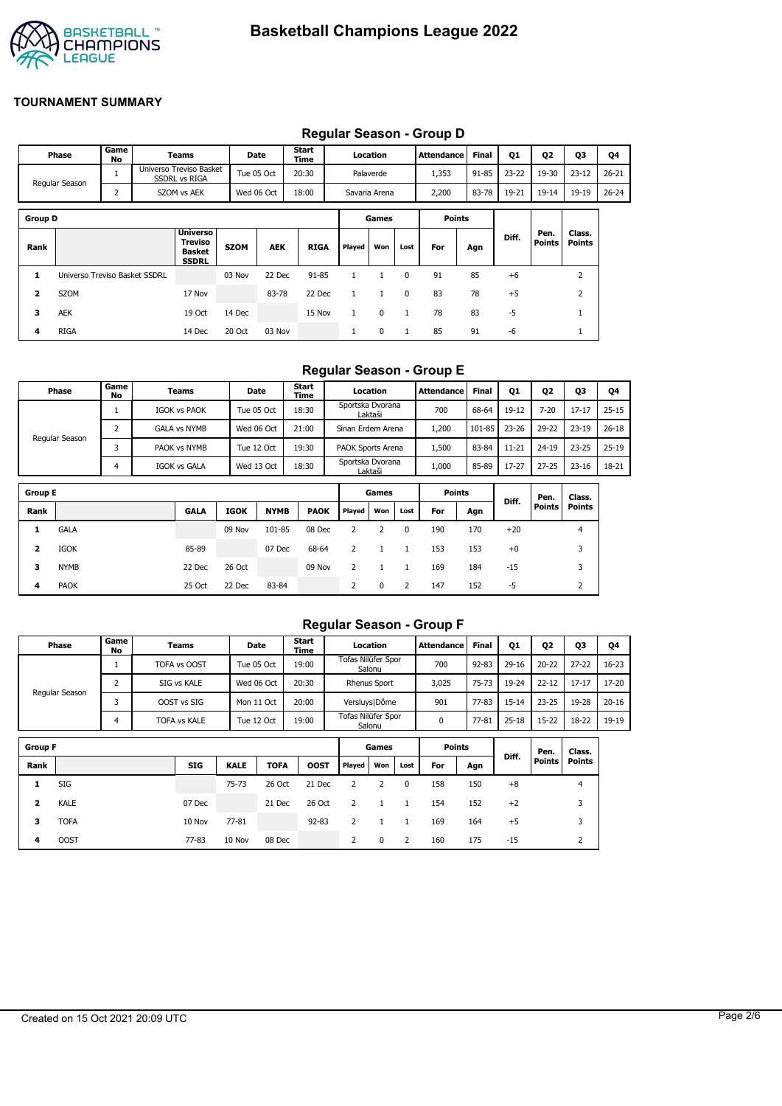

|                | Requiar Season - Group D                                          |            |  |                                                             |                     |            |               |              |              |              |                   |              |           |                |                  |    |
|----------------|-------------------------------------------------------------------|------------|--|-------------------------------------------------------------|---------------------|------------|---------------|--------------|--------------|--------------|-------------------|--------------|-----------|----------------|------------------|----|
|                | Phase                                                             | Game<br>No |  | Teams                                                       |                     | Date       | Start<br>Time |              | Location     |              | <b>Attendance</b> | <b>Final</b> | <b>Q1</b> | Q <sub>2</sub> | Q3               | Q4 |
|                | Universo Treviso Basket<br><b>SSDRL vs RIGA</b><br>Regular Season |            |  | Tue 05 Oct                                                  | 20:30               | Palaverde  |               |              | 1,353        | 91-85        | $23 - 22$         | 19-30        | $23 - 12$ | $26 - 21$      |                  |    |
|                | $\overline{2}$<br>SZOM vs AEK                                     |            |  |                                                             | 18:00<br>Wed 06 Oct |            | Savaria Arena |              | 2,200        | 83-78        | 19-21             | $19 - 14$    | 19-19     | $26 - 24$      |                  |    |
| <b>Group D</b> |                                                                   |            |  |                                                             |                     |            |               |              | Games        |              | <b>Points</b>     |              |           |                |                  |    |
| Rank           |                                                                   |            |  | <b>Universo</b><br>Treviso<br><b>Basket</b><br><b>SSDRL</b> | <b>SZOM</b>         | <b>AEK</b> | <b>RIGA</b>   | Played       | Won          | Lost         | For               | Agn          | Diff.     | Pen.<br>Points | Class.<br>Points |    |
| 1              | Universo Treviso Basket SSDRL                                     |            |  |                                                             | 03 Nov              | 22 Dec     | $91 - 85$     | $\mathbf{1}$ | 1            | $\mathbf{0}$ | 91                | 85           | $+6$      |                | $\overline{2}$   |    |
| 2              | SZOM                                                              |            |  | 17 Nov                                                      |                     | 83-78      | 22 Dec        | $\mathbf{1}$ | $\mathbf{1}$ | $\mathbf{0}$ | 83                | 78           | $+5$      |                | $\overline{2}$   |    |
| 3              | AEK                                                               |            |  | 19 Oct                                                      | 14 Dec              |            | 15 Nov        | $\mathbf{1}$ | 0            | 1            | 78                | 83           | $-5$      |                | $\mathbf{1}$     |    |
| 4              | <b>RIGA</b>                                                       |            |  | 14 Dec                                                      | 20 Oct              | 03 Nov     |               | л.           | 0            | $\mathbf{1}$ | 85                | 91           | -6        |                | T                |    |

# **Regular Season - Group D**

#### **Regular Season - Group E**

| Phase          | Game<br>No | Teams               | <b>Date</b> | <b>Start</b><br>Time | Location                    | Attendance | <b>Final</b> | Q1        | Q <sub>2</sub> | Q3        | Q4        |
|----------------|------------|---------------------|-------------|----------------------|-----------------------------|------------|--------------|-----------|----------------|-----------|-----------|
|                |            | <b>IGOK vs PAOK</b> | Tue 05 Oct  | 18:30                | Sportska Dvorana<br>Laktaši | 700        | 68-64        | 19-12     | $7 - 20$       | $17 - 17$ | $25 - 15$ |
|                |            | <b>GALA vs NYMB</b> | Wed 06 Oct  | 21:00                | Sinan Erdem Arena           | 200،       | 101-85       | 23-26     | 29-22          | $23 - 19$ | $26 - 18$ |
| Regular Season |            | PAOK vs NYMB        | Tue 12 Oct  | 19:30                | PAOK Sports Arena           | 500ء       | 83-84        | $11 - 21$ | $24 - 19$      | $23 - 25$ | $25 - 19$ |
|                |            | IGOK vs GALA        | Wed 13 Oct  | 18:30                | Sportska Dvorana<br>Laktaši | 1,000      | 85-89        | 17-27     | $27 - 25$      | $23 - 16$ | 18-21     |

| <b>Group E</b> |             |             |             | Games       |             | <b>Points</b> |     | Diff. | Pen. | Class. |       |               |               |
|----------------|-------------|-------------|-------------|-------------|-------------|---------------|-----|-------|------|--------|-------|---------------|---------------|
| Rank           |             | <b>GALA</b> | <b>IGOK</b> | <b>NYMB</b> | <b>PAOK</b> | Played        | Won | Lost  | For  | Agn    |       | <b>Points</b> | <b>Points</b> |
|                | <b>GALA</b> |             | 09 Nov      | 101-85      | 08 Dec      |               |     | 0     | 190  | 170    | $+20$ |               | 4             |
| 2              | IGOK        | 85-89       |             | 07 Dec      | 68-64       |               |     |       | 153  | 153    | $+0$  |               | 3             |
| 3              | <b>NYMB</b> | 22 Dec      | 26 Oct      |             | 09 Nov      |               |     |       | 169  | 184    | $-15$ |               | 3             |
| 4              | <b>PAOK</b> | 25 Oct      | 22 Dec      | 83-84       |             | 2             | 0   | 2     | 147  | 152    | -5    |               | ∠             |

#### **Regular Season - Group F**

|                     | Phase       | Game<br>No  | Teams               |             | Date        | Start<br>Time |                     | Location        |              | Attendance    | <b>Final</b> | <b>Q1</b> | 02            | Q3        | Q4        |
|---------------------|-------------|-------------|---------------------|-------------|-------------|---------------|---------------------|-----------------|--------------|---------------|--------------|-----------|---------------|-----------|-----------|
|                     |             |             | TOFA vs OOST        |             | Tue 05 Oct  | 19:00         | Tofas Nilüfer Spor  | Salonu          |              | 700           | $92 - 83$    | $29-16$   | $20 - 22$     | $27 - 22$ | $16 - 23$ |
| 2<br>Regular Season |             | SIG vs KALE | Wed 06 Oct          |             | 20:30       |               | <b>Rhenus Sport</b> |                 | 3,025        | 75-73         | 19-24        | $22 - 12$ | $17 - 17$     | 17-20     |           |
|                     |             |             | OOST vs SIG         |             | Mon 11 Oct  | 20:00         |                     | Versluys   Dôme |              | 901           | $77 - 83$    | $15 - 14$ | $23 - 25$     | 19-28     | $20 - 16$ |
|                     | 4           |             | <b>TOFA vs KALE</b> |             | Tue 12 Oct  | 19:00         | Tofas Nilüfer Spor  | Salonu          |              | 0             | 77-81        | $25 - 18$ | $15 - 22$     | 18-22     | 19-19     |
|                     |             |             |                     |             |             |               |                     |                 |              |               |              |           |               |           |           |
| <b>Group F</b>      |             |             |                     |             |             |               |                     | Games           |              | <b>Points</b> |              | Diff.     | Pen.          | Class.    |           |
| Rank                |             |             | <b>SIG</b>          | <b>KALE</b> | <b>TOFA</b> | <b>OOST</b>   | Played              | Won             | Lost         | For           | Agn          |           | <b>Points</b> | Points    |           |
| 1                   | SIG         |             |                     | $75 - 73$   | 26 Oct      | 21 Dec        | 2                   | 2               | $\mathbf{0}$ | 158           | 150          | $+8$      |               | 4         |           |
| 2                   | <b>KALE</b> |             | 07 Dec              |             | 21 Dec      | 26 Oct        | 2                   | 1               |              | 154           | 152          | $+2$      |               | 3         |           |
| 3                   | <b>TOFA</b> |             | 10 Nov              | 77-81       |             | $92 - 83$     | 2                   |                 |              | 169           | 164          | $+5$      |               | 3         |           |

**4** OOST 77-83 10 Nov 08 Dec 2 0 2 160 175 -15 2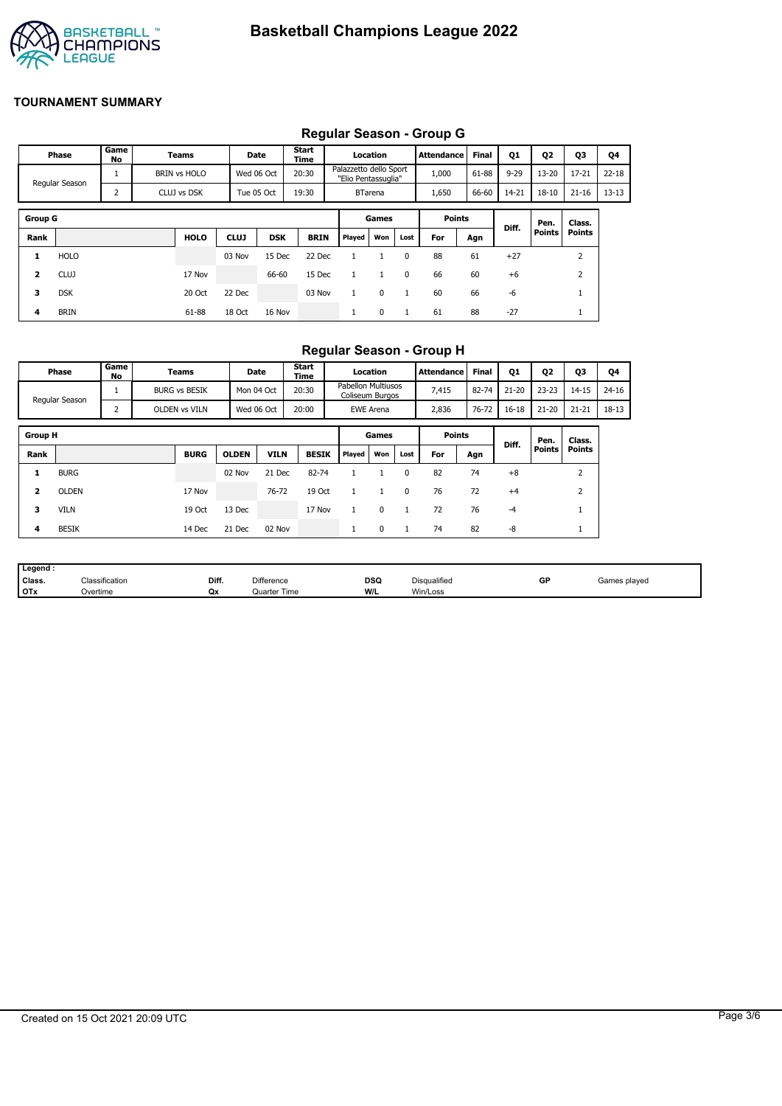

# **Regular Season - Group G**

|                | Regular Ocason - Oroup O |            |  |                     |                                       |            |               |        |                                               |               |                   |              |           |               |               |           |
|----------------|--------------------------|------------|--|---------------------|---------------------------------------|------------|---------------|--------|-----------------------------------------------|---------------|-------------------|--------------|-----------|---------------|---------------|-----------|
|                | Phase                    | Game<br>No |  | Teams               |                                       | Date       | Start<br>Time |        | Location                                      |               | <b>Attendance</b> | <b>Final</b> | Q1        | Q2            | <b>Q3</b>     | Q4        |
|                | 1<br>Regular Season      |            |  | <b>BRIN vs HOLO</b> |                                       | Wed 06 Oct | 20:30         |        | Palazzetto dello Sport<br>"Elio Pentassuglia" |               | 1,000             | 61-88        | $9 - 29$  | $13 - 20$     | $17 - 21$     | $22 - 18$ |
|                |                          | 2          |  | CLUJ vs DSK         | 19:30<br>Tue 05 Oct<br><b>BTarena</b> |            |               | 1,650  | 66-60                                         | 14-21         | $18 - 10$         | $21 - 16$    | $13 - 13$ |               |               |           |
|                |                          |            |  |                     |                                       |            |               |        |                                               |               |                   |              |           |               |               |           |
| <b>Group G</b> |                          |            |  |                     |                                       |            |               | Games  |                                               | <b>Points</b> |                   | Diff.        | Pen.      | Class.        |               |           |
| Rank           |                          |            |  | <b>HOLO</b>         | <b>CLUJ</b>                           | <b>DSK</b> | <b>BRIN</b>   | Played | Won                                           | Lost          | For               | Agn          |           | <b>Points</b> | <b>Points</b> |           |
| 1              | <b>HOLO</b>              |            |  |                     | 03 Nov                                | 15 Dec     | 22 Dec        |        |                                               | $\Omega$      | 88                | 61           | $+27$     |               | 2             |           |
| 2              | <b>CLUJ</b>              |            |  | 17 Nov              |                                       | 66-60      | 15 Dec        |        |                                               | 0             | 66                | 60           | $+6$      |               | 2             |           |
| 3              | <b>DSK</b>               |            |  | 20 Oct              | 22 Dec                                |            | 03 Nov        |        | $\mathbf 0$                                   | $\mathbf{1}$  | 60                | 66           | $-6$      |               |               |           |
| 4              | <b>BRIN</b>              |            |  | 61-88               | 18 Oct                                | 16 Nov     |               |        | 0                                             | 1             | 61                | 88           | $-27$     |               |               |           |

## **Regular Season - Group H**

|                         | Phase          | Game<br>No | Teams                | Date         |             | <b>Start</b><br>Time |                                              | Location         |          | Attendance    | <b>Final</b> | Q1        | Q <sub>2</sub> | Q3            | Q4        |
|-------------------------|----------------|------------|----------------------|--------------|-------------|----------------------|----------------------------------------------|------------------|----------|---------------|--------------|-----------|----------------|---------------|-----------|
|                         | Regular Season |            | <b>BURG vs BESIK</b> | Mon 04 Oct   |             | 20:30                | <b>Pabellon Multiusos</b><br>Coliseum Burgos |                  |          | 7,415         | 82-74        | $21 - 20$ | $23 - 23$      | $14 - 15$     | $24 - 16$ |
|                         |                | 2          | OLDEN vs VILN        | Wed 06 Oct   |             | 20:00                |                                              | <b>EWE Arena</b> |          | 2,836         | 76-72        | $16 - 18$ | $21 - 20$      | $21 - 21$     | 18-13     |
| <b>Group H</b>          |                |            |                      |              |             |                      |                                              | Games            |          | <b>Points</b> |              |           | Pen.           | Class.        |           |
| Rank                    |                |            | <b>BURG</b>          | <b>OLDEN</b> | <b>VILN</b> | <b>BESIK</b>         | Played                                       | Won              | Lost     | For           | Agn          | Diff.     | Points         | <b>Points</b> |           |
| 1                       | <b>BURG</b>    |            |                      | 02 Nov       | 21 Dec      | 82-74                |                                              |                  | $\Omega$ | 82            | 74           | $+8$      |                | 2             |           |
| $\overline{\mathbf{2}}$ | <b>OLDEN</b>   |            | 17 Nov               |              | 76-72       | 19 Oct               |                                              |                  | $\Omega$ | 76            | 72           | $+4$      |                | 2             |           |
| з                       | <b>VILN</b>    |            | 19 Oct               | 13 Dec       |             | 17 Nov               |                                              | $\Omega$         |          | 72            | 76           | $-4$      |                |               |           |
| 4                       | <b>BESIK</b>   |            | 14 Dec               | 21 Dec       | 02 Nov      |                      | л.                                           | 0                |          | 74            | 82           | -8        |                | Τ.            |           |

| Legend:    |                            |       |                     |                    |              |    |              |
|------------|----------------------------|-------|---------------------|--------------------|--------------|----|--------------|
| Class.     | <sup>∽เ</sup> assification | Diff. | <b>Difference</b>   | <b>DSQ</b><br>$ -$ | Disqualified | GP | Games played |
| <b>OTx</b> | Overtime                   | Qx    | <b>Quarter Time</b> | W/L                | Win/Loss     |    |              |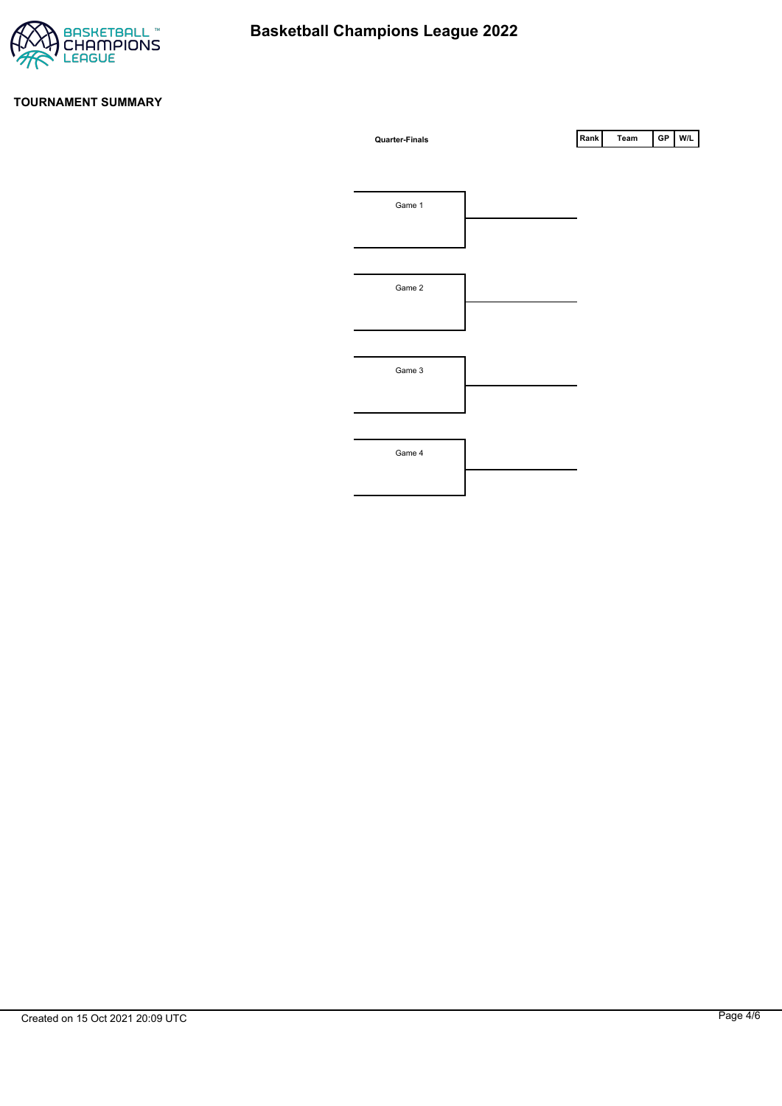

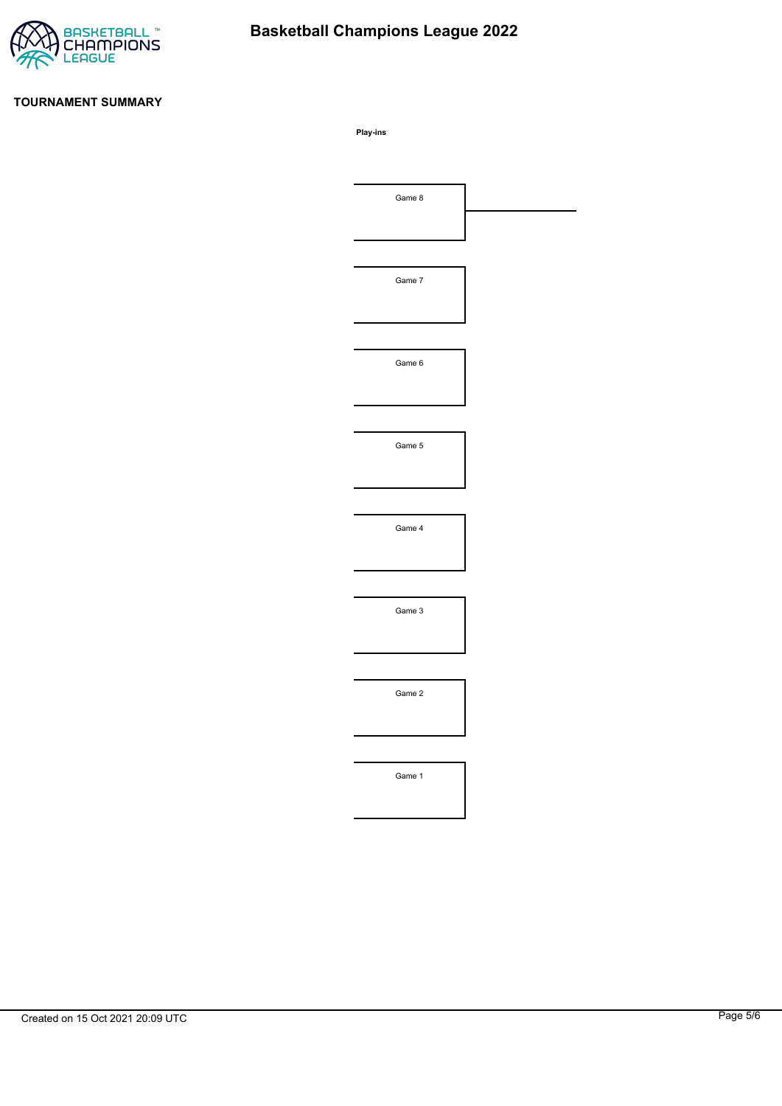

# **Basketball Champions League 2022**

#### **TOURNAMENT SUMMARY**

**Play-ins**

| Game 8 |  |
|--------|--|
|        |  |
|        |  |
| Game 7 |  |
|        |  |
|        |  |
| Game 6 |  |
|        |  |
|        |  |
| Game 5 |  |
|        |  |
|        |  |
| Game 4 |  |
|        |  |
|        |  |
| Game 3 |  |
|        |  |
|        |  |
| Game 2 |  |
|        |  |
|        |  |
| Game 1 |  |
|        |  |
|        |  |